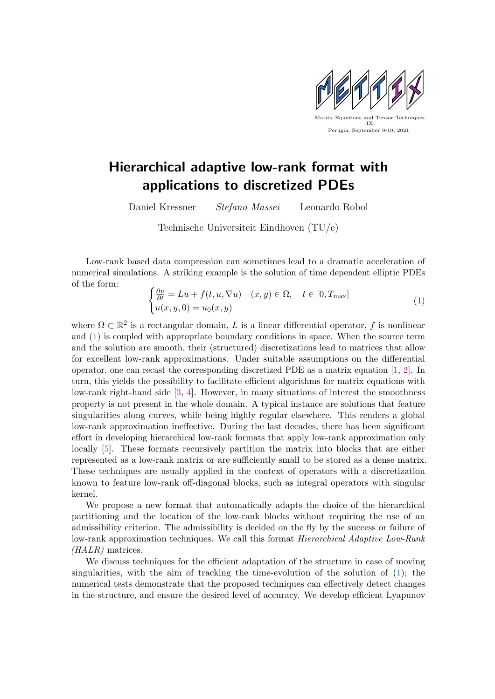

## Hierarchical adaptive low-rank format with applications to discretized PDEs

Daniel Kressner Stefano Massei Leonardo Robol

Technische Universiteit Eindhoven (TU/e)

Low-rank based data compression can sometimes lead to a dramatic acceleration of numerical simulations. A striking example is the solution of time dependent elliptic PDEs of the form:

<span id="page-0-0"></span>
$$
\begin{cases} \frac{\partial u}{\partial t} = Lu + f(t, u, \nabla u) & (x, y) \in \Omega, \quad t \in [0, T_{\text{max}}] \\ u(x, y, 0) = u_0(x, y) \end{cases}
$$
(1)

where  $\Omega \subset \mathbb{R}^2$  is a rectangular domain, L is a linear differential operator, f is nonlinear and [\(1\)](#page-0-0) is coupled with appropriate boundary conditions in space. When the source term and the solution are smooth, their (structured) discretizations lead to matrices that allow for excellent low-rank approximations. Under suitable assumptions on the differential operator, one can recast the corresponding discretized PDE as a matrix equation [\[1,](#page-1-0) [2\]](#page-1-1). In turn, this yields the possibility to facilitate efficient algorithms for matrix equations with low-rank right-hand side [\[3,](#page-1-2) [4\]](#page-1-3). However, in many situations of interest the smoothness property is not present in the whole domain. A typical instance are solutions that feature singularities along curves, while being highly regular elsewhere. This renders a global low-rank approximation ineffective. During the last decades, there has been significant effort in developing hierarchical low-rank formats that apply low-rank approximation only locally [\[5\]](#page-1-4). These formats recursively partition the matrix into blocks that are either represented as a low-rank matrix or are sufficiently small to be stored as a dense matrix. These techniques are usually applied in the context of operators with a discretization known to feature low-rank off-diagonal blocks, such as integral operators with singular kernel.

We propose a new format that automatically adapts the choice of the hierarchical partitioning and the location of the low-rank blocks without requiring the use of an admissibility criterion. The admissibility is decided on the fly by the success or failure of low-rank approximation techniques. We call this format Hierarchical Adaptive Low-Rank (HALR) matrices.

We discuss techniques for the efficient adaptation of the structure in case of moving singularities, with the aim of tracking the time-evolution of the solution of [\(1\)](#page-0-0); the numerical tests demonstrate that the proposed techniques can effectively detect changes in the structure, and ensure the desired level of accuracy. We develop efficient Lyapunov